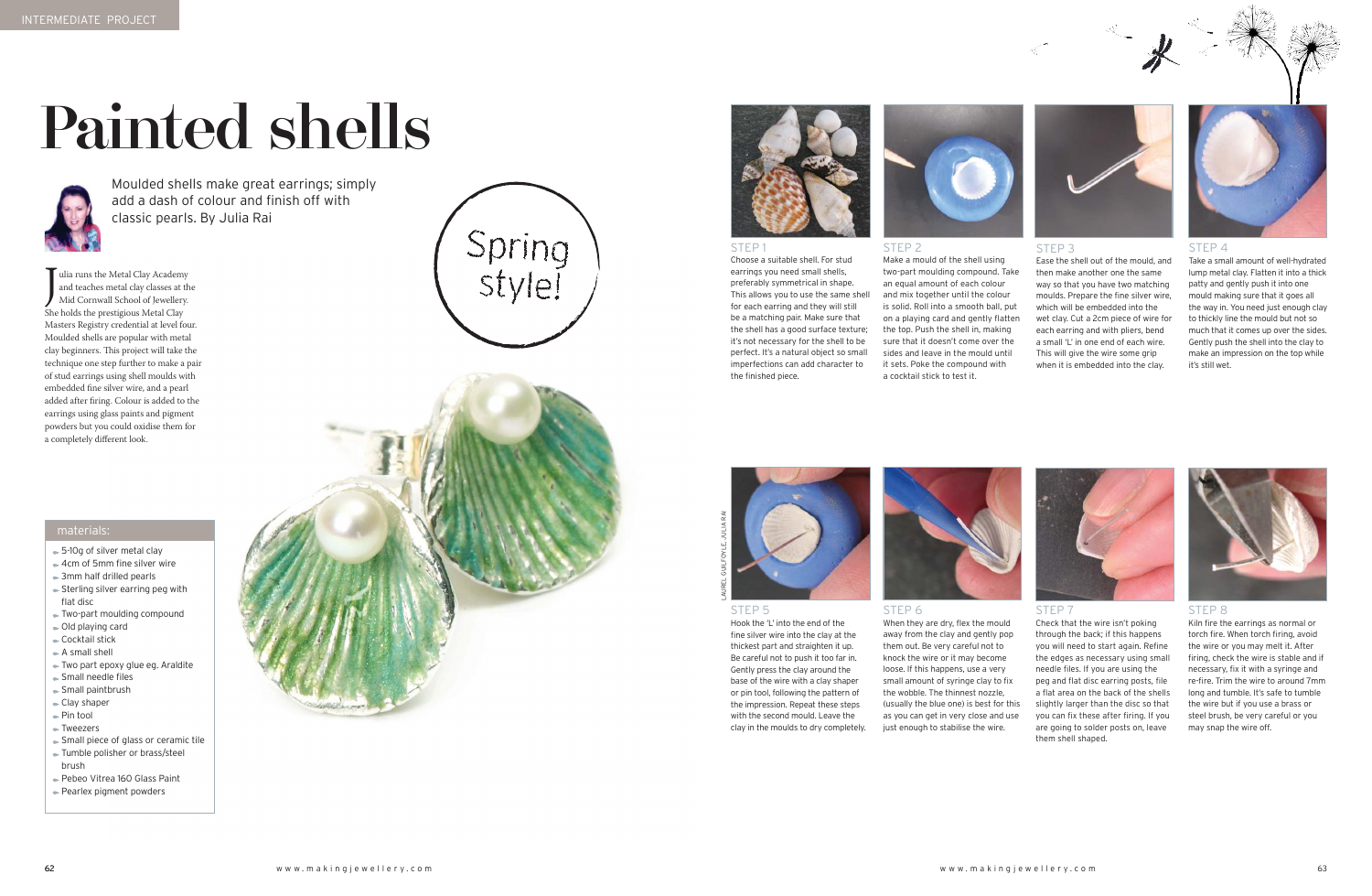# Painted shells



Moulded shells make great earrings; simply add a dash of colour and finish off with classic pearls. By Julia Rai

#### STEP 1

Choose a suitable shell. For stud earrings you need small shells, preferably symmetrical in shape. This allows you to use the same shell for each earring and they will still be a matching pair. Make sure that the shell has a good surface texture; it's not necessary for the shell to be perfect. It's a natural object so small imperfections can add character to the finished piece.



#### STEP 2

two-part moulding compound. Take and mix together until the colour is solid. Roll into a smooth ball, put on a playing card and gently flatten the top. Push the shell in, making sure that it doesn't come over the sides and leave in the mould until



Make a mould of the shell using an equal amount of each colour it sets. Poke the compound with a cocktail stick to test it.

## STEP 3

Ease the shell out of the mould, and then make another one the same way so that you have two matching moulds. Prepare the fine silver wire, which will be embedded into the wet clay. Cut a 2cm piece of wire for each earring and with pliers, bend a small 'L' in one end of each wire. This will give the wire some grip when it is embedded into the clay.



#### STEP 4

Take a small amount of well-hydrated lump metal clay. Flatten it into a thick patty and gently push it into one mould making sure that it goes all the way in. You need just enough clay to thickly line the mould but not so much that it comes up over the sides. Gently push the shell into the clay to make an impression on the top while it's still wet.



## STEP 8

Kiln fire the earrings as normal or torch fire. When torch firing, avoid the wire or you may melt it. After firing, check the wire is stable and if necessary, fix it with a syringe and re-fire. Trim the wire to around 7mm long and tumble. It's safe to tumble the wire but if you use a brass or steel brush, be very careful or you may snap the wire off.

 $\begin{array}{l} \displaystyle\quad \quad \text{D}} \text{ulia runs the Metal Clay Academy} \\ \text{and teaches metal clay classes at t} \\ \text{Mid Cornwall School of Jeweller} \\ \text{She holds the prestigious Metal Clay} \end{array}$ ulia runs the Metal Clay Academy and teaches metal clay classes at the Mid Cornwall School of Jewellery. Masters Registry credential at level four. Moulded shells are popular with metal clay beginners. This project will take the technique one step further to make a pair of stud earrings using shell moulds with embedded fine silver wire, and a pearl added after firing. Colour is added to the earrings using glass paints and pigment powders but you could oxidise them for a completely different look.





## STEP 5

Hook the 'L' into the end of the fine silver wire into the clay at the thickest part and straighten it up. Be careful not to push it too far in. Gently press the clay around the base of the wire with a clay shaper or pin tool, following the pattern of the impression. Repeat these steps with the second mould. Leave the clay in the moulds to dry completely.



When they are dry, flex the mould away from the clay and gently pop them out. Be very careful not to knock the wire or it may become loose. If this happens, use a very small amount of syringe clay to fix the wobble. The thinnest nozzle, (usually the blue one) is best for this as you can get in very close and use just enough to stabilise the wire.

STEP 7

Check that the wire isn't poking through the back; if this happens you will need to start again. Refine the edges as necessary using small needle files. If you are using the peg and flat disc earring posts, file a flat area on the back of the shells slightly larger than the disc so that you can fix these after firing. If you are going to solder posts on, leave them shell shaped.



LAuREL GuILFoYLE, JuLIA RAI

- 5-10g of silver metal clay
- **► 4cm of 5mm fine silver wire**
- 3mm half drilled pearls
- $\blacktriangleright$  Sterling silver earring peg with flat disc
- Two-part moulding compound
- $\bullet$  Old playing card
- Cocktail stick
- $\blacktriangleright$  A small shell
- Two part epoxy glue eg. Araldite Small needle files
- Small paintbrush
- Clay shaper
- Pin tool
- Tweezers
- Small piece of glass or ceramic tile
- Tumble polisher or brass/steel brush
- Pebeo Vitrea 160 Glass Paint Pearlex pigment powders



## materials: